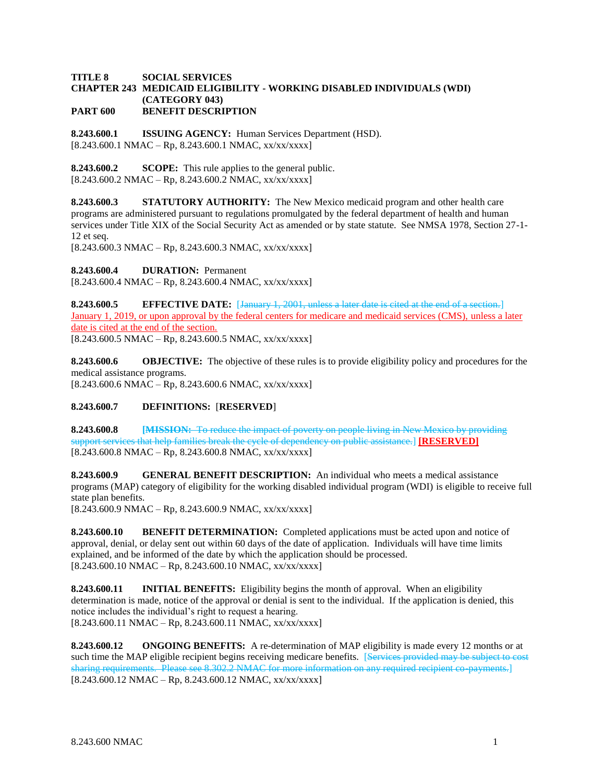## **TITLE 8 SOCIAL SERVICES CHAPTER 243 MEDICAID ELIGIBILITY - WORKING DISABLED INDIVIDUALS (WDI) (CATEGORY 043) PART 600 BENEFIT DESCRIPTION**

**8.243.600.1 ISSUING AGENCY:** Human Services Department (HSD).  $[8.243.600.1 \text{ NMAC} - \text{Rp}, 8.243.600.1 \text{ NMAC}, xx/xxxxx]$ 

**8.243.600.2 SCOPE:** This rule applies to the general public.  $[8.243.600.2 \text{ NMAC} - \text{Rp}, 8.243.600.2 \text{ NMAC}, xx/xxxx \]$ 

**8.243.600.3 STATUTORY AUTHORITY:** The New Mexico medicaid program and other health care programs are administered pursuant to regulations promulgated by the federal department of health and human services under Title XIX of the Social Security Act as amended or by state statute. See NMSA 1978, Section 27-1- 12 et seq.

 $[8.243.600.3 \text{ NMAC} - \text{Rp}, 8.243.600.3 \text{ NMAC}, xx/xxxxx]$ 

**8.243.600.4 DURATION:** Permanent

 $[8.243.600.4 \text{ NMAC} - \text{Rp}, 8.243.600.4 \text{ NMAC}, xx/xx/xxxx]$ 

**8.243.600.5 EFFECTIVE DATE:** [January 1, 2001, unless a later date is cited at the end of a section.] January 1, 2019, or upon approval by the federal centers for medicare and medicaid services (CMS), unless a later date is cited at the end of the section.  $[8.243.600.5 NMAC - Rp, 8.243.600.5 NMAC, xx/xx/xxxx]$ 

**8.243.600.6 OBJECTIVE:** The objective of these rules is to provide eligibility policy and procedures for the medical assistance programs.

 $[8.243.600.6 \text{ NMAC} - \text{Rp}, 8.243.600.6 \text{ NMAC}, xx/xxxxx]$ 

## **8.243.600.7 DEFINITIONS:** [**RESERVED**]

**8.243.600.8 [MISSION:** To reduce the impact of poverty on people living in New Mexico by providing support services that help families break the cycle of dependency on public assistance.] **[RESERVED]**  $[8.243.600.8 \text{ NMAC} - \text{Rp}, 8.243.600.8 \text{ NMAC}, xx/xxxxx]$ 

**8.243.600.9 GENERAL BENEFIT DESCRIPTION:** An individual who meets a medical assistance programs (MAP) category of eligibility for the working disabled individual program (WDI) is eligible to receive full state plan benefits.

 $[8.243.600.9 \text{ NMAC} - \text{Rp}, 8.243.600.9 \text{ NMAC}, xx/xxxxx]$ 

**8.243.600.10 BENEFIT DETERMINATION:** Completed applications must be acted upon and notice of approval, denial, or delay sent out within 60 days of the date of application. Individuals will have time limits explained, and be informed of the date by which the application should be processed.  $[8.243.600.10 NMAC - Rp, 8.243.600.10 NMAC, xx/xx/xxx]$ 

**8.243.600.11 INITIAL BENEFITS:** Eligibility begins the month of approval. When an eligibility determination is made, notice of the approval or denial is sent to the individual. If the application is denied, this notice includes the individual's right to request a hearing.  $[8.243.600.11 \text{ NMAC} - \text{Rp}, 8.243.600.11 \text{ NMAC}, xx/xx/xxxx]$ 

**8.243.600.12 ONGOING BENEFITS:** A re-determination of MAP eligibility is made every 12 months or at such time the MAP eligible recipient begins receiving medicare benefits. [Services provided may be subject to cost sharing requirements. Please see 8.302.2 NMAC for more information on any required recipient co-payments.  $[8.243.600.12 \text{ NMAC} - \text{Rp}, 8.243.600.12 \text{ NMAC}, xx/xx/xxx]$